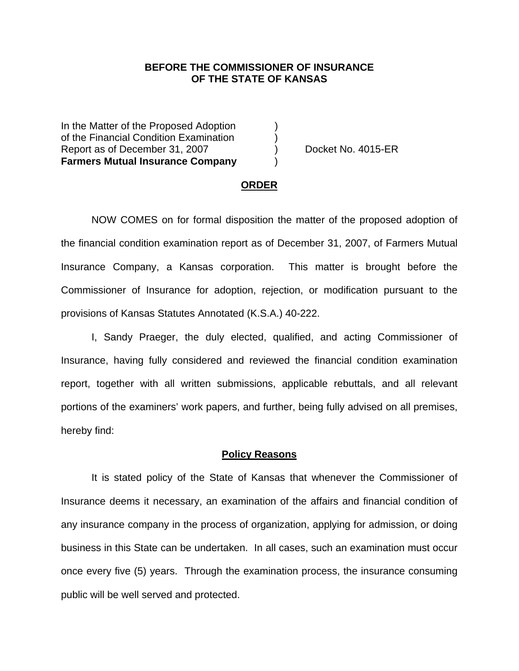### **BEFORE THE COMMISSIONER OF INSURANCE OF THE STATE OF KANSAS**

In the Matter of the Proposed Adoption of the Financial Condition Examination ) Report as of December 31, 2007 (and Separate No. 4015-ER **Farmers Mutual Insurance Company** )

#### **ORDER**

 NOW COMES on for formal disposition the matter of the proposed adoption of the financial condition examination report as of December 31, 2007, of Farmers Mutual Insurance Company, a Kansas corporation. This matter is brought before the Commissioner of Insurance for adoption, rejection, or modification pursuant to the provisions of Kansas Statutes Annotated (K.S.A.) 40-222.

 I, Sandy Praeger, the duly elected, qualified, and acting Commissioner of Insurance, having fully considered and reviewed the financial condition examination report, together with all written submissions, applicable rebuttals, and all relevant portions of the examiners' work papers, and further, being fully advised on all premises, hereby find:

#### **Policy Reasons**

 It is stated policy of the State of Kansas that whenever the Commissioner of Insurance deems it necessary, an examination of the affairs and financial condition of any insurance company in the process of organization, applying for admission, or doing business in this State can be undertaken. In all cases, such an examination must occur once every five (5) years. Through the examination process, the insurance consuming public will be well served and protected.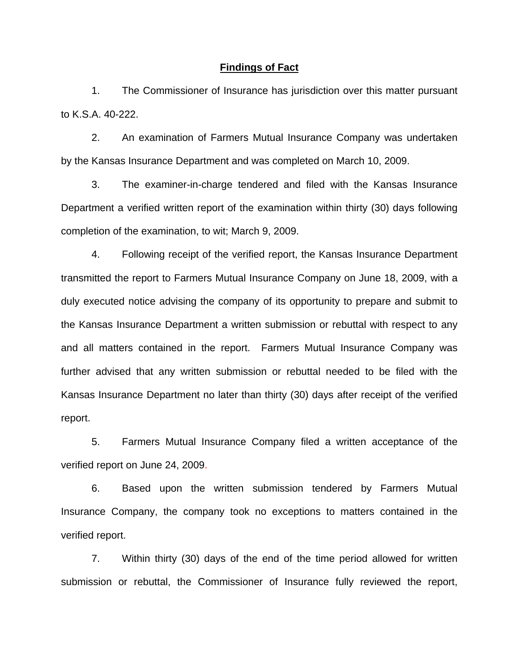#### **Findings of Fact**

 1. The Commissioner of Insurance has jurisdiction over this matter pursuant to K.S.A. 40-222.

 2. An examination of Farmers Mutual Insurance Company was undertaken by the Kansas Insurance Department and was completed on March 10, 2009.

 3. The examiner-in-charge tendered and filed with the Kansas Insurance Department a verified written report of the examination within thirty (30) days following completion of the examination, to wit; March 9, 2009.

 4. Following receipt of the verified report, the Kansas Insurance Department transmitted the report to Farmers Mutual Insurance Company on June 18, 2009, with a duly executed notice advising the company of its opportunity to prepare and submit to the Kansas Insurance Department a written submission or rebuttal with respect to any and all matters contained in the report. Farmers Mutual Insurance Company was further advised that any written submission or rebuttal needed to be filed with the Kansas Insurance Department no later than thirty (30) days after receipt of the verified report.

 5. Farmers Mutual Insurance Company filed a written acceptance of the verified report on June 24, 2009.

6. Based upon the written submission tendered by Farmers Mutual Insurance Company, the company took no exceptions to matters contained in the verified report.

 7. Within thirty (30) days of the end of the time period allowed for written submission or rebuttal, the Commissioner of Insurance fully reviewed the report,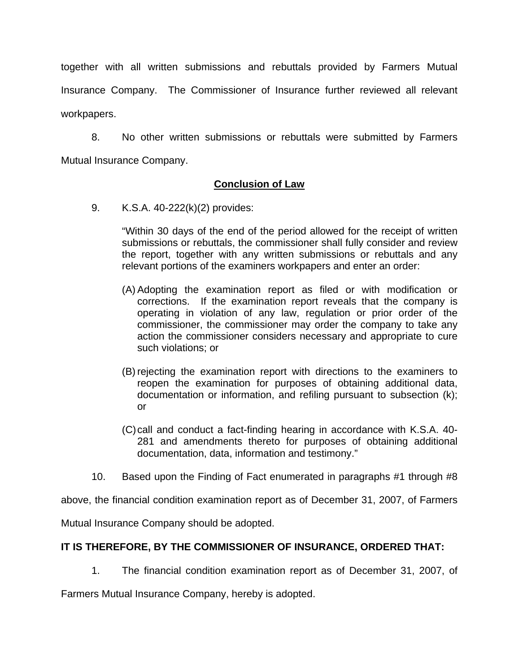together with all written submissions and rebuttals provided by Farmers Mutual Insurance Company. The Commissioner of Insurance further reviewed all relevant workpapers.

 8. No other written submissions or rebuttals were submitted by Farmers Mutual Insurance Company.

## **Conclusion of Law**

9. K.S.A. 40-222(k)(2) provides:

"Within 30 days of the end of the period allowed for the receipt of written submissions or rebuttals, the commissioner shall fully consider and review the report, together with any written submissions or rebuttals and any relevant portions of the examiners workpapers and enter an order:

- (A) Adopting the examination report as filed or with modification or corrections. If the examination report reveals that the company is operating in violation of any law, regulation or prior order of the commissioner, the commissioner may order the company to take any action the commissioner considers necessary and appropriate to cure such violations; or
- (B) rejecting the examination report with directions to the examiners to reopen the examination for purposes of obtaining additional data, documentation or information, and refiling pursuant to subsection (k); or
- (C) call and conduct a fact-finding hearing in accordance with K.S.A. 40- 281 and amendments thereto for purposes of obtaining additional documentation, data, information and testimony."
- 10. Based upon the Finding of Fact enumerated in paragraphs #1 through #8

above, the financial condition examination report as of December 31, 2007, of Farmers

Mutual Insurance Company should be adopted.

# **IT IS THEREFORE, BY THE COMMISSIONER OF INSURANCE, ORDERED THAT:**

1. The financial condition examination report as of December 31, 2007, of

Farmers Mutual Insurance Company, hereby is adopted.